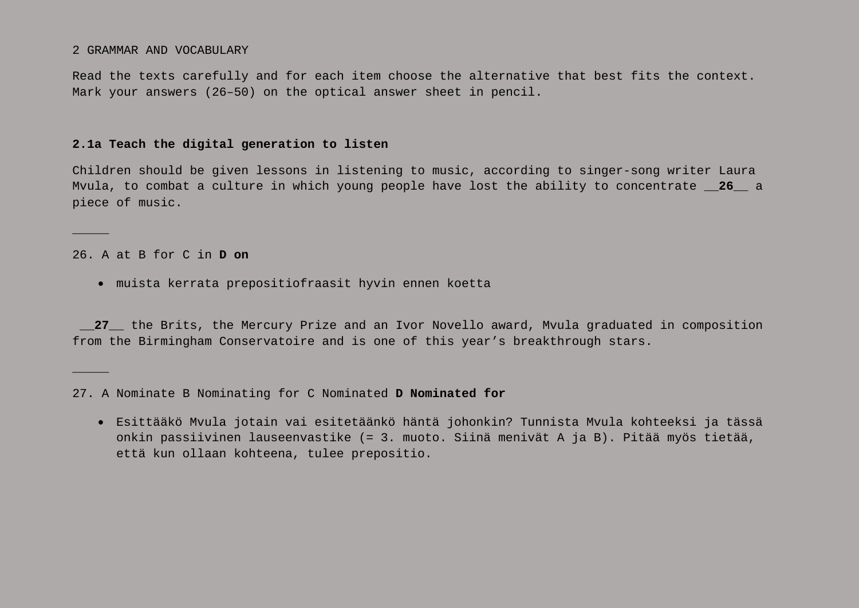2 GRAMMAR AND VOCABULARY

Read the texts carefully and for each item choose the alternative that best fits the context. Mark your answers (26–50) on the optical answer sheet in pencil.

### **2.1a Teach the digital generation to listen**

Children should be given lessons in listening to music, according to singer-song writer Laura Mvula, to combat a culture in which young people have lost the ability to concentrate **\_\_26\_\_** a piece of music.

26. A at B for C in **D on**

 $\overline{\phantom{a}}$ 

 $\overline{\phantom{a}}$ 

• muista kerrata prepositiofraasit hyvin ennen koetta

**\_\_27\_\_** the Brits, the Mercury Prize and an Ivor Novello award, Mvula graduated in composition from the Birmingham Conservatoire and is one of this year's breakthrough stars.

• Esittääkö Mvula jotain vai esitetäänkö häntä johonkin? Tunnista Mvula kohteeksi ja tässä onkin passiivinen lauseenvastike (= 3. muoto. Siinä menivät A ja B). Pitää myös tietää, että kun ollaan kohteena, tulee prepositio.

<sup>27.</sup> A Nominate B Nominating for C Nominated **D Nominated for**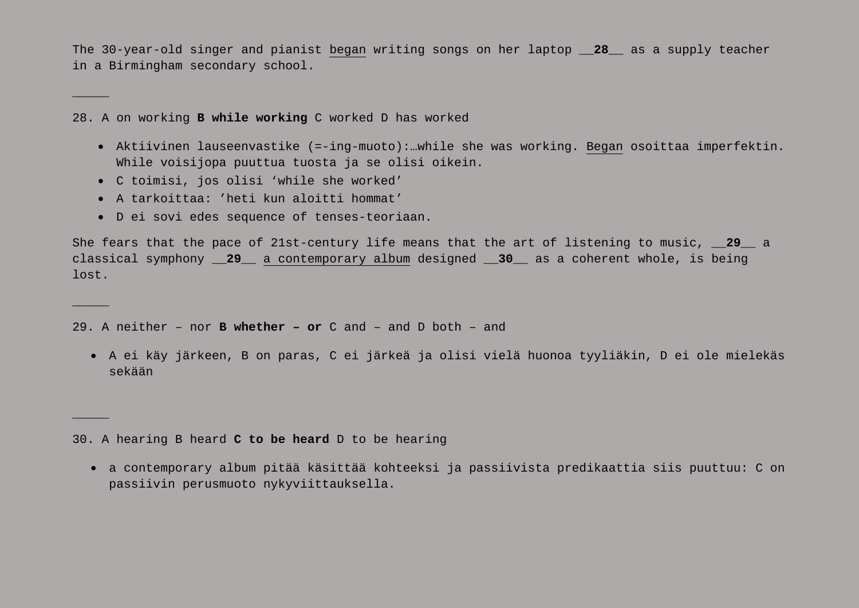The 30-year-old singer and pianist began writing songs on her laptop **\_\_28\_\_** as a supply teacher in a Birmingham secondary school.

28. A on working **B while working** C worked D has worked

- Aktiivinen lauseenvastike (=-ing-muoto):…while she was working. Began osoittaa imperfektin. While voisijopa puuttua tuosta ja se olisi oikein.
- C toimisi, jos olisi 'while she worked'

 $\overline{\phantom{a}}$ 

 $\overline{\phantom{a}}$ 

 $\overline{\phantom{a}}$ 

- A tarkoittaa: 'heti kun aloitti hommat'
- D ei sovi edes sequence of tenses-teoriaan.

She fears that the pace of 21st-century life means that the art of listening to music, **\_\_29\_\_** a classical symphony **\_\_29\_\_** a contemporary album designed **\_\_30\_\_** as a coherent whole, is being lost.

29. A neither – nor **B whether – or** C and – and D both – and

• A ei käy järkeen, B on paras, C ei järkeä ja olisi vielä huonoa tyyliäkin, D ei ole mielekäs sekään

30. A hearing B heard **C to be heard** D to be hearing

• a contemporary album pitää käsittää kohteeksi ja passiivista predikaattia siis puuttuu: C on passiivin perusmuoto nykyviittauksella.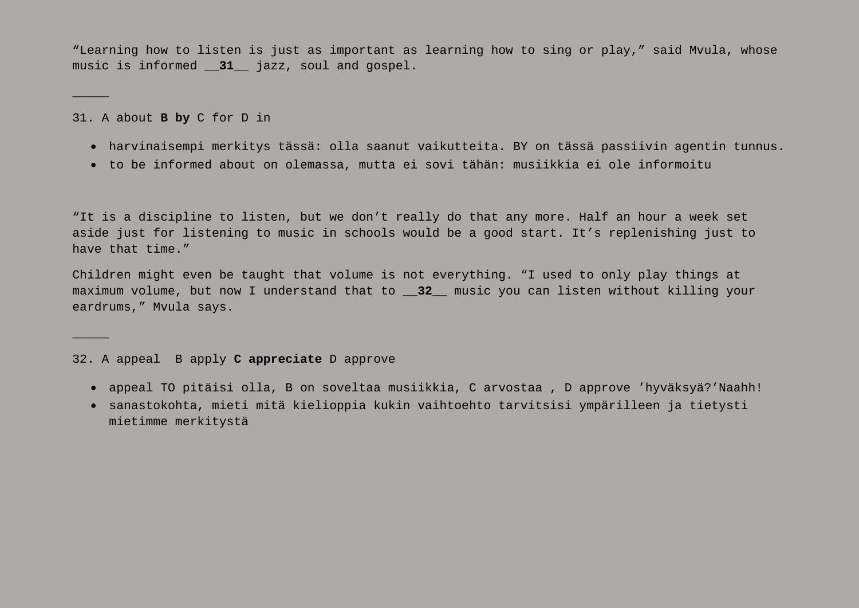"Learning how to listen is just as important as learning how to sing or play," said Mvula, whose music is informed **\_\_31\_\_** jazz, soul and gospel.

31. A about **B by** C for D in

 $\overline{\phantom{a}}$ 

 $\overline{\phantom{a}}$ 

- harvinaisempi merkitys tässä: olla saanut vaikutteita. BY on tässä passiivin agentin tunnus.
- to be informed about on olemassa, mutta ei sovi tähän: musiikkia ei ole informoitu

"It is a discipline to listen, but we don't really do that any more. Half an hour a week set aside just for listening to music in schools would be a good start. It's replenishing just to have that time."

Children might even be taught that volume is not everything. "I used to only play things at maximum volume, but now I understand that to **\_\_32\_\_** music you can listen without killing your eardrums," Mvula says.

#### 32. A appeal B apply **C appreciate** D approve

- appeal TO pitäisi olla, B on soveltaa musiikkia, C arvostaa , D approve 'hyväksyä?'Naahh!
- sanastokohta, mieti mitä kielioppia kukin vaihtoehto tarvitsisi ympärilleen ja tietysti mietimme merkitystä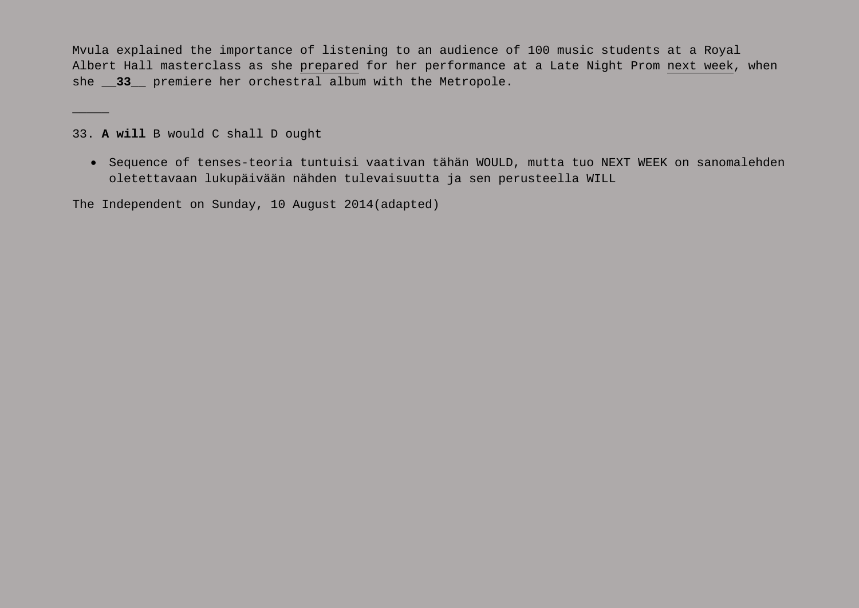Mvula explained the importance of listening to an audience of 100 music students at a Royal Albert Hall masterclass as she prepared for her performance at a Late Night Prom next week, when she **\_\_33\_\_** premiere her orchestral album with the Metropole.

33. **A will** B would C shall D ought

 $\overline{\phantom{a}}$ 

• Sequence of tenses-teoria tuntuisi vaativan tähän WOULD, mutta tuo NEXT WEEK on sanomalehden oletettavaan lukupäivään nähden tulevaisuutta ja sen perusteella WILL

The Independent on Sunday, 10 August 2014(adapted)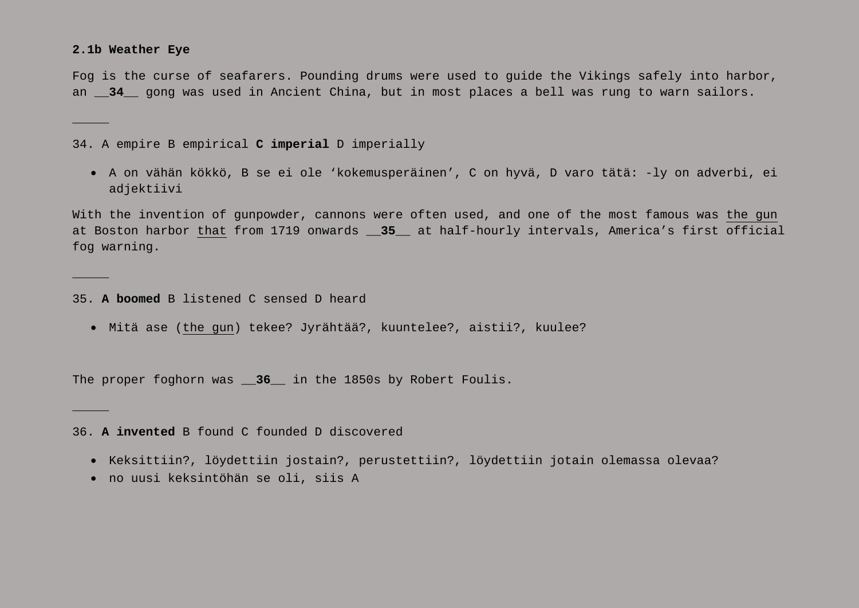#### **2.1b Weather Eye**

 $\overline{\phantom{a}}$ 

 $\overline{\phantom{a}}$ 

 $\overline{\phantom{a}}$ 

Fog is the curse of seafarers. Pounding drums were used to guide the Vikings safely into harbor, an **\_\_34\_\_** gong was used in Ancient China, but in most places a bell was rung to warn sailors.

34. A empire B empirical **C imperial** D imperially

• A on vähän kökkö, B se ei ole 'kokemusperäinen', C on hyvä, D varo tätä: -ly on adverbi, ei adjektiivi

With the invention of gunpowder, cannons were often used, and one of the most famous was the gun at Boston harbor that from 1719 onwards **\_\_35\_\_** at half-hourly intervals, America's first official fog warning.

35. **A boomed** B listened C sensed D heard

• Mitä ase (the gun) tekee? Jyrähtää?, kuuntelee?, aistii?, kuulee?

The proper foghorn was **\_\_36\_\_** in the 1850s by Robert Foulis.

36. **A invented** B found C founded D discovered

- Keksittiin?, löydettiin jostain?, perustettiin?, löydettiin jotain olemassa olevaa?
- no uusi keksintöhän se oli, siis A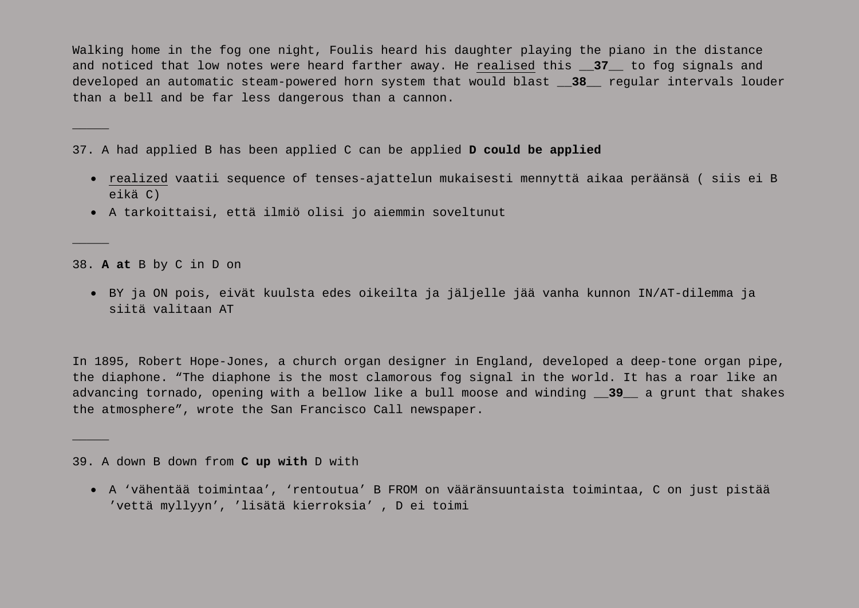Walking home in the fog one night, Foulis heard his daughter playing the piano in the distance and noticed that low notes were heard farther away. He realised this **\_\_37\_\_** to fog signals and developed an automatic steam-powered horn system that would blast **\_\_38\_\_** regular intervals louder than a bell and be far less dangerous than a cannon.

37. A had applied B has been applied C can be applied **D could be applied**

- realized vaatii sequence of tenses-ajattelun mukaisesti mennyttä aikaa peräänsä ( siis ei B eikä C)
- A tarkoittaisi, että ilmiö olisi jo aiemmin soveltunut

38. **A at** B by C in D on

 $\overline{\phantom{a}}$ 

 $\overline{\phantom{a}}$ 

 $\overline{\phantom{a}}$ 

• BY ja ON pois, eivät kuulsta edes oikeilta ja jäljelle jää vanha kunnon IN/AT-dilemma ja siitä valitaan AT

In 1895, Robert Hope-Jones, a church organ designer in England, developed a deep-tone organ pipe, the diaphone. "The diaphone is the most clamorous fog signal in the world. It has a roar like an advancing tornado, opening with a bellow like a bull moose and winding **\_\_39\_\_** a grunt that shakes the atmosphere", wrote the San Francisco Call newspaper.

39. A down B down from **C up with** D with

• A 'vähentää toimintaa', 'rentoutua' B FROM on vääränsuuntaista toimintaa, C on just pistää 'vettä myllyyn', 'lisätä kierroksia' , D ei toimi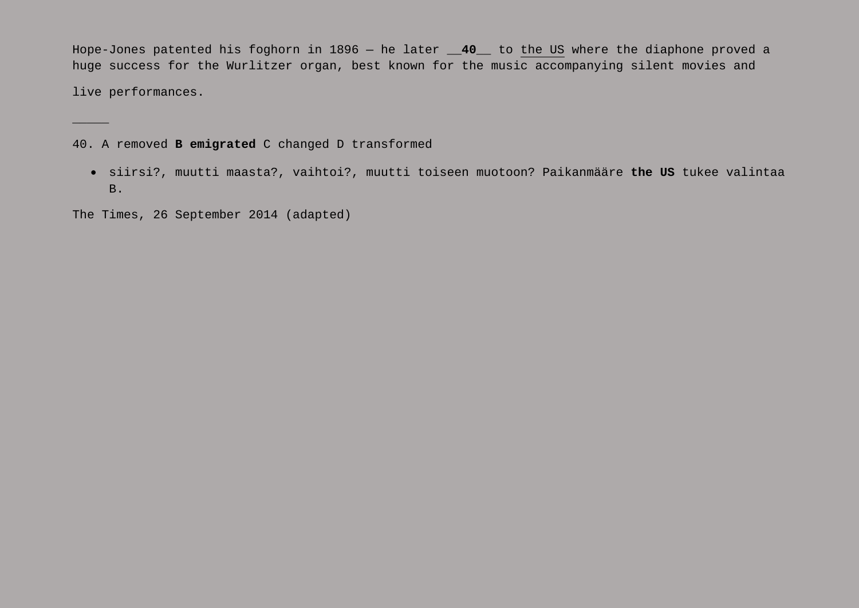Hope-Jones patented his foghorn in 1896 — he later **\_\_40\_\_** to the US where the diaphone proved a huge success for the Wurlitzer organ, best known for the music accompanying silent movies and

live performances.

 $\overline{\phantom{a}}$ 

40. A removed **B emigrated** C changed D transformed

• siirsi?, muutti maasta?, vaihtoi?, muutti toiseen muotoon? Paikanmääre **the US** tukee valintaa B.

The Times, 26 September 2014 (adapted)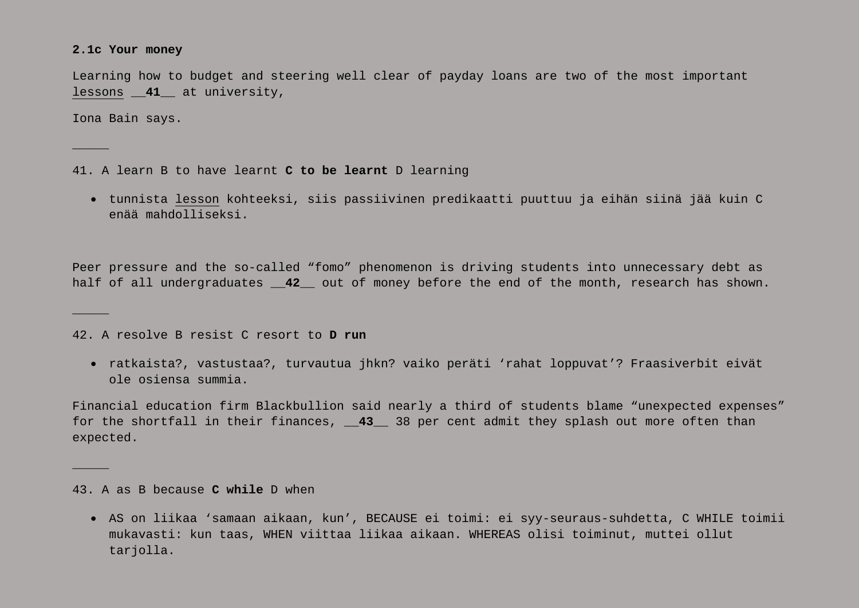#### **2.1c Your money**

Learning how to budget and steering well clear of payday loans are two of the most important lessons **\_\_41\_\_** at university,

Iona Bain says.

 $\overline{\phantom{a}}$ 

 $\overline{\phantom{a}}$ 

 $\mathcal{L}$ 

41. A learn B to have learnt **C to be learnt** D learning

• tunnista lesson kohteeksi, siis passiivinen predikaatti puuttuu ja eihän siinä jää kuin C enää mahdolliseksi.

Peer pressure and the so-called "fomo" phenomenon is driving students into unnecessary debt as half of all undergraduates **\_\_42\_\_** out of money before the end of the month, research has shown.

42. A resolve B resist C resort to **D run**

• ratkaista?, vastustaa?, turvautua jhkn? vaiko peräti 'rahat loppuvat'? Fraasiverbit eivät ole osiensa summia.

Financial education firm Blackbullion said nearly a third of students blame "unexpected expenses" for the shortfall in their finances, 43 \_38 per cent admit they splash out more often than expected.

43. A as B because **C while** D when

• AS on liikaa 'samaan aikaan, kun', BECAUSE ei toimi: ei syy-seuraus-suhdetta, C WHILE toimii mukavasti: kun taas, WHEN viittaa liikaa aikaan. WHEREAS olisi toiminut, muttei ollut tarjolla.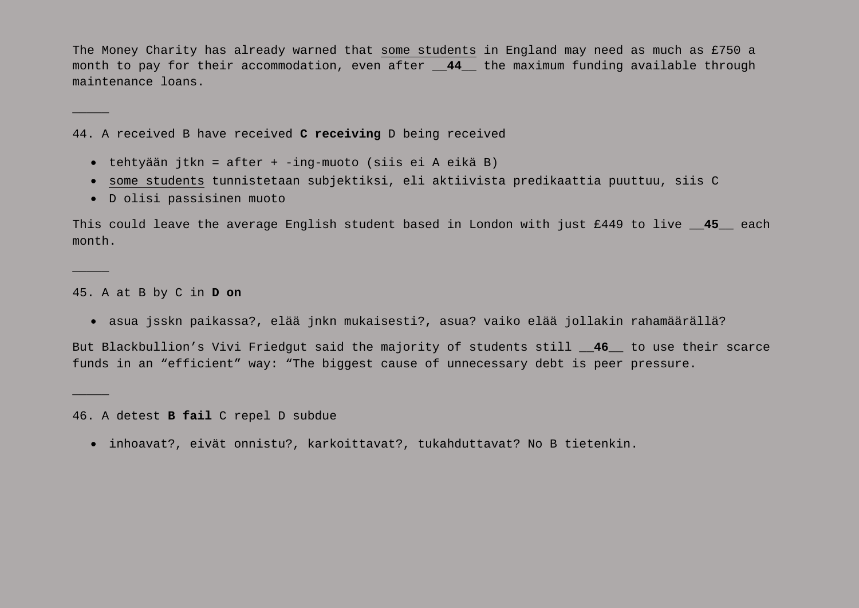The Money Charity has already warned that some students in England may need as much as £750 a month to pay for their accommodation, even after **\_\_44\_\_** the maximum funding available through maintenance loans.

44. A received B have received **C receiving** D being received

- tehtyään jtkn = after + -ing-muoto (siis ei A eikä B)
- some students tunnistetaan subjektiksi, eli aktiivista predikaattia puuttuu, siis C
- D olisi passisinen muoto

This could leave the average English student based in London with just £449 to live **\_\_45\_\_** each month.

45. A at B by C in **D on**

 $\overline{\phantom{a}}$ 

 $\overline{\phantom{a}}$ 

 $\overline{\phantom{a}}$ 

• asua jsskn paikassa?, elää jnkn mukaisesti?, asua? vaiko elää jollakin rahamäärällä?

But Blackbullion's Vivi Friedgut said the majority of students still **\_\_46\_\_** to use their scarce funds in an "efficient" way: "The biggest cause of unnecessary debt is peer pressure.

46. A detest **B fail** C repel D subdue

• inhoavat?, eivät onnistu?, karkoittavat?, tukahduttavat? No B tietenkin.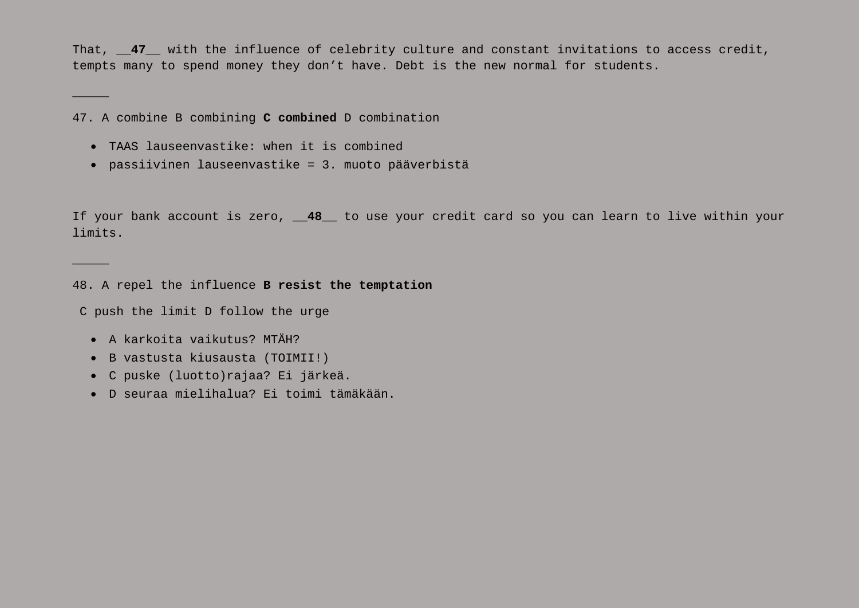That, 47 with the influence of celebrity culture and constant invitations to access credit, tempts many to spend money they don't have. Debt is the new normal for students.

47. A combine B combining **C combined** D combination

- TAAS lauseenvastike: when it is combined
- passiivinen lauseenvastike = 3. muoto pääverbistä

If your bank account is zero, **\_\_48\_\_** to use your credit card so you can learn to live within your limits.

48. A repel the influence **B resist the temptation**

C push the limit D follow the urge

• A karkoita vaikutus? MTÄH?

 $\overline{\phantom{a}}$ 

 $\overline{\phantom{a}}$ 

- B vastusta kiusausta (TOIMII!)
- C puske (luotto)rajaa? Ei järkeä.
- D seuraa mielihalua? Ei toimi tämäkään.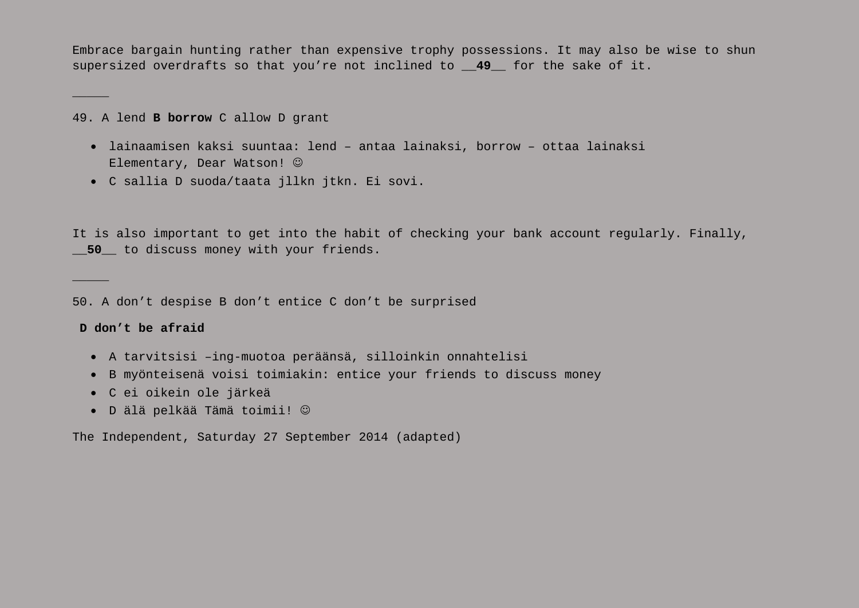Embrace bargain hunting rather than expensive trophy possessions. It may also be wise to shun supersized overdrafts so that you're not inclined to **\_\_49\_\_** for the sake of it.

49. A lend **B borrow** C allow D grant

- lainaamisen kaksi suuntaa: lend antaa lainaksi, borrow ottaa lainaksi Elementary, Dear Watson!  $\odot$
- C sallia D suoda/taata jllkn jtkn. Ei sovi.

It is also important to get into the habit of checking your bank account regularly. Finally, **\_\_50\_\_** to discuss money with your friends.

50. A don't despise B don't entice C don't be surprised

#### **D don't be afraid**

 $\overline{\phantom{a}}$ 

 $\overline{\phantom{a}}$ 

- A tarvitsisi –ing-muotoa peräänsä, silloinkin onnahtelisi
- B myönteisenä voisi toimiakin: entice your friends to discuss money
- C ei oikein ole järkeä
- D älä pelkää Tämä toimii!

The Independent, Saturday 27 September 2014 (adapted)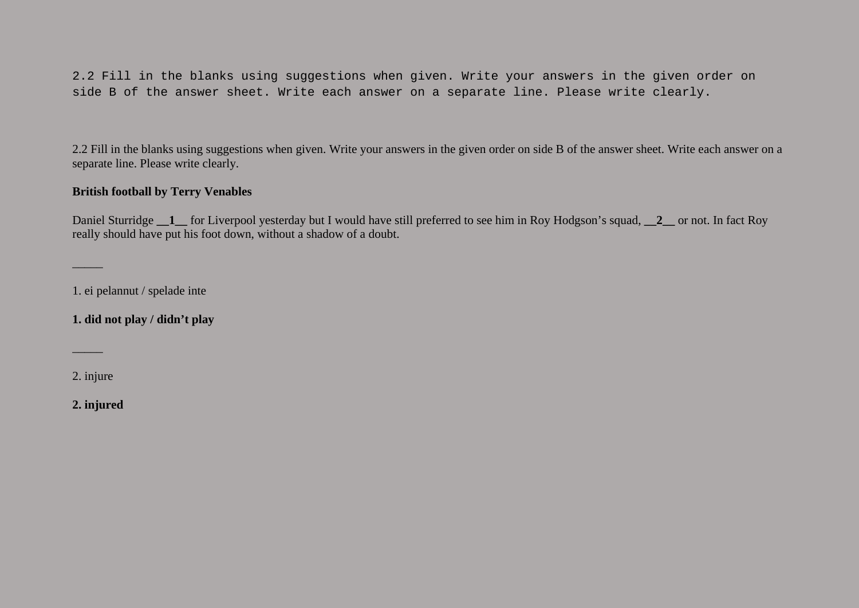2.2 Fill in the blanks using suggestions when given. Write your answers in the given order on side B of the answer sheet. Write each answer on a separate line. Please write clearly.

2.2 Fill in the blanks using suggestions when given. Write your answers in the given order on side B of the answer sheet. Write each answer on a separate line. Please write clearly.

## **British football by Terry Venables**

Daniel Sturridge **\_\_1\_\_** for Liverpool yesterday but I would have still preferred to see him in Roy Hodgson's squad, **\_\_2\_\_** or not. In fact Roy really should have put his foot down, without a shadow of a doubt.

1. ei pelannut / spelade inte

**1. did not play / didn't play**

2. injure

 $\mathcal{L}$ 

 $\mathcal{L}$ 

**2. injured**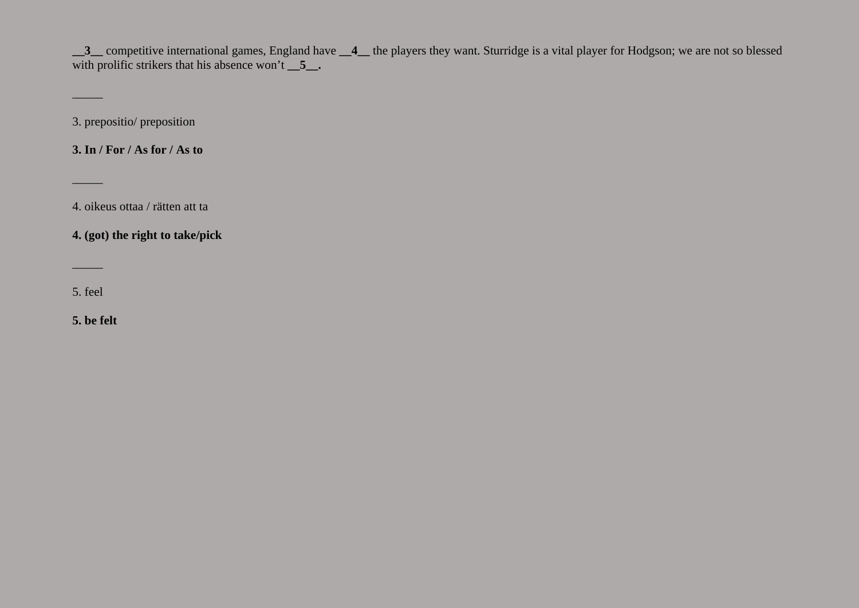**\_\_3\_\_** competitive international games, England have **\_\_4\_\_** the players they want. Sturridge is a vital player for Hodgson; we are not so blessed with prolific strikers that his absence won't  $\overline{\phantom{a}}$  5.

3. prepositio/ preposition

**3. In / For / As for / As to**

4. oikeus ottaa / rätten att ta

**4. (got) the right to take/pick**

5. feel

 $\sim$ 

 $\mathcal{L}$ 

 $\overline{\phantom{a}}$ 

**5. be felt**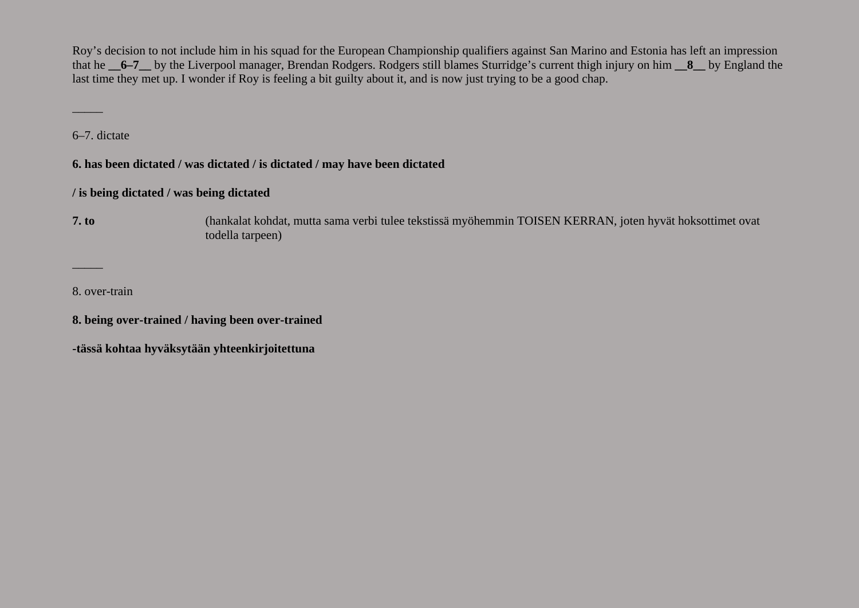Roy's decision to not include him in his squad for the European Championship qualifiers against San Marino and Estonia has left an impression that he **6–7** by the Liverpool manager, Brendan Rodgers. Rodgers still blames Sturridge's current thigh injury on him **8** by England the last time they met up. I wonder if Roy is feeling a bit guilty about it, and is now just trying to be a good chap.

6–7. dictate

 $\mathcal{L}$ 

**6. has been dictated / was dictated / is dictated / may have been dictated**

# **/ is being dictated / was being dictated**

**7. to** (hankalat kohdat, mutta sama verbi tulee tekstissä myöhemmin TOISEN KERRAN, joten hyvät hoksottimet ovat todella tarpeen)

8. over-train

 $\mathcal{L}$ 

**8. being over-trained / having been over-trained**

**-tässä kohtaa hyväksytään yhteenkirjoitettuna**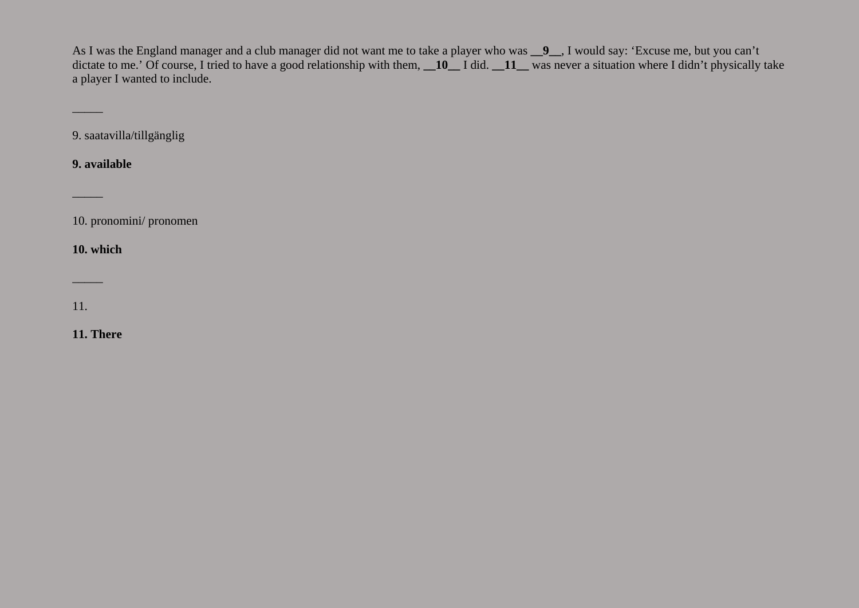As I was the England manager and a club manager did not want me to take a player who was **\_\_9\_\_**, I would say: 'Excuse me, but you can't dictate to me.' Of course, I tried to have a good relationship with them, **\_\_10**\_\_ I did. **\_\_11**\_\_ was never a situation where I didn't physically take a player I wanted to include.

9. saatavilla/tillgänglig

**9. available**

 $\mathcal{L}$ 

 $\mathcal{L}$ 

10. pronomini/ pronomen

**10. which**

11.

 $\mathcal{L}$ 

**11. There**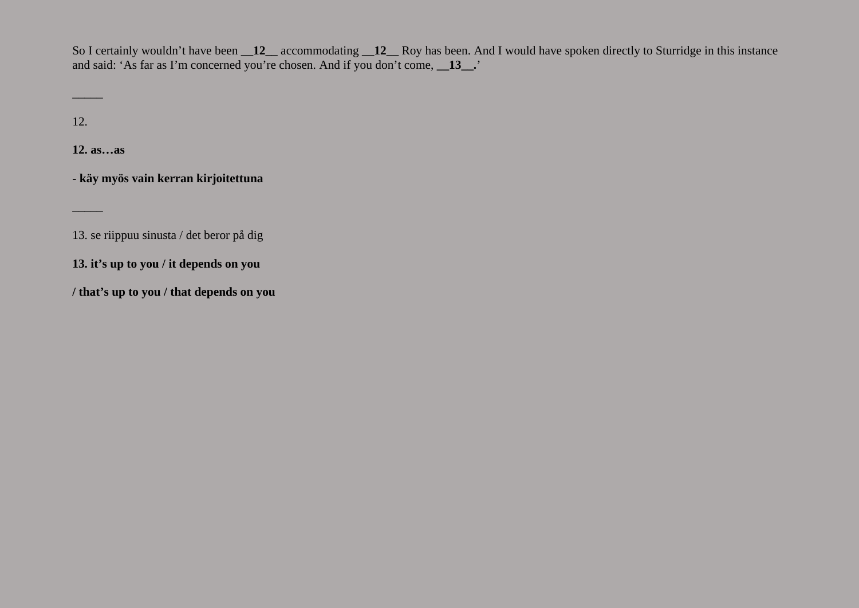So I certainly wouldn't have been **\_\_12\_\_** accommodating **\_\_12\_\_** Roy has been. And I would have spoken directly to Sturridge in this instance and said: 'As far as I'm concerned you're chosen. And if you don't come, **\_\_13\_\_.**'

12.

 $\mathcal{L}$ 

 $\mathcal{L}$ 

**12. as…as**

**- käy myös vain kerran kirjoitettuna**

13. se riippuu sinusta / det beror på dig

**13. it's up to you / it depends on you**

**/ that's up to you / that depends on you**